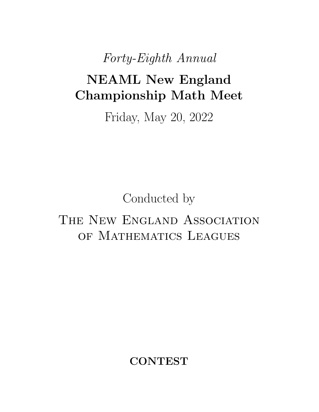*Forty-Eighth Annual*

# NEAML New England Championship Math Meet

Friday, May 20, 2022

Conducted by

# THE NEW ENGLAND ASSOCIATION OF MATHEMATICS LEAGUES

**CONTEST**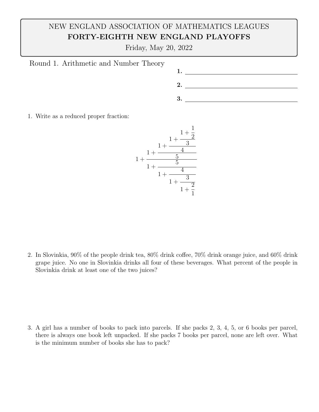Friday, May 20, 2022



1. Write as a reduced proper fraction:



2. In Slovinkia,  $90\%$  of the people drink tea,  $80\%$  drink coffee,  $70\%$  drink orange juice, and  $60\%$  drink grape juice. No one in Slovinkia drinks all four of these beverages. What percent of the people in Slovinkia drink at least one of the two juices?

3. A girl has a number of books to pack into parcels. If she packs 2, 3, 4, 5, or 6 books per parcel, there is always one book left unpacked. If she packs 7 books per parcel, none are left over. What is the minimum number of books she has to pack?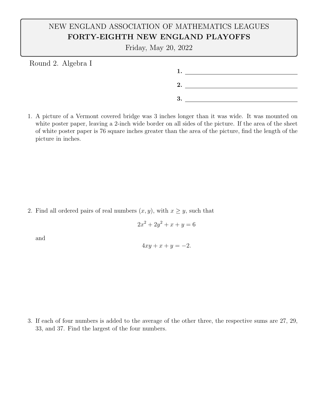Friday, May 20, 2022

Round 2. Algebra I

1. 2. 3.

1. A picture of a Vermont covered bridge was 3 inches longer than it was wide. It was mounted on white poster paper, leaving a 2-inch wide border on all sides of the picture. If the area of the sheet of white poster paper is 76 square inches greater than the area of the picture, find the length of the picture in inches.

2. Find all ordered pairs of real numbers  $(x, y)$ , with  $x \geq y$ , such that

$$
2x^2 + 2y^2 + x + y = 6
$$

and

$$
4xy + x + y = -2.
$$

3. If each of four numbers is added to the average of the other three, the respective sums are 27, 29, 33, and 37. Find the largest of the four numbers.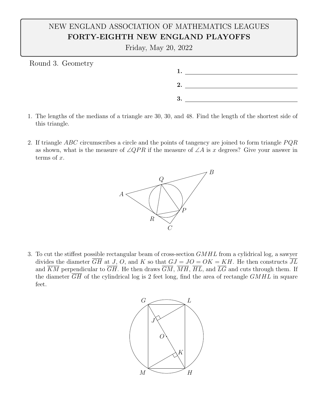Friday, May 20, 2022

Round 3. Geometry



- 1. The lengths of the medians of a triangle are 30, 30, and 48. Find the length of the shortest side of this triangle.
- 2. If triangle *ABC* circumscribes a circle and the points of tangency are joined to form triangle *P QR* as shown, what is the measure of  $\angle QPR$  if the measure of  $\angle A$  is *x* degrees? Give your answer in terms of *x*.



3. To cut the stiffest possible rectangular beam of cross-section *GMHL* from a cylidrical log, a sawyer divides the diameter  $\overline{GH}$  at *J*, *O*, and *K* so that  $GJ = JO = OK = KH$ . He then constructs  $\overline{JL}$ and  $\overline{KM}$  perpendicular to  $\overline{GH}$ . He then draws  $\overline{GM}$ ,  $\overline{MH}$ ,  $\overline{HL}$ , and  $\overline{LG}$  and cuts through them. If the diameter *GH* of the cylindrical log is 2 feet long, find the area of rectangle *GMHL* in square feet.

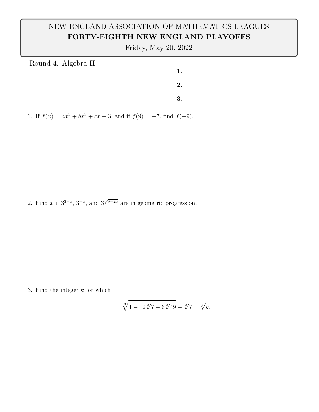Friday, May 20, 2022

| Round 4. Algebra II |      |
|---------------------|------|
|                     |      |
|                     |      |
|                     | 2.   |
|                     |      |
|                     | . ಲ. |
|                     |      |

1. If  $f(x) = ax^5 + bx^3 + cx + 3$ , and if  $f(9) = -7$ , find  $f(-9)$ .

2. Find *x* if  $3^{3-x}$ ,  $3^{-x}$ , and  $3^{\sqrt{9-2x}}$  are in geometric progression.

3. Find the integer *k* for which

$$
\sqrt[3]{1 - 12\sqrt[3]{7} + 6\sqrt[3]{49}} + \sqrt[3]{7} = \sqrt[3]{k}.
$$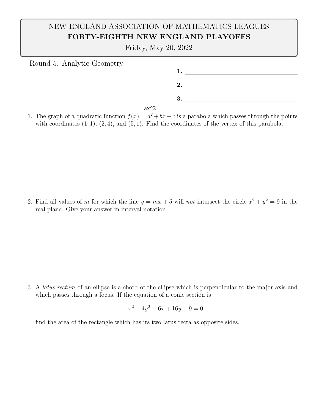Friday, May 20, 2022

| Round 5. Analytic Geometry |        |  |
|----------------------------|--------|--|
|                            |        |  |
|                            |        |  |
|                            | 2.     |  |
|                            |        |  |
|                            | 3.     |  |
|                            | $ax^2$ |  |

1. The graph of a quadratic function  $f(x) = a^2 + bx + c$  is a parabola which passes through the points with coordinates (1*,* 1), (2*,* 4), and (5*,* 1). Find the coordinates of the vertex of this parabola.

2. Find all values of *m* for which the line  $y = mx + 5$  will *not* intersect the circle  $x^2 + y^2 = 9$  in the real plane. Give your answer in interval notation.

3. A *latus rectum* of an ellipse is a chord of the ellipse which is perpendicular to the major axis and which passes through a focus. If the equation of a conic section is

$$
x^2 + 4y^2 - 6x + 16y + 9 = 0,
$$

find the area of the rectangle which has its two latus recta as opposite sides.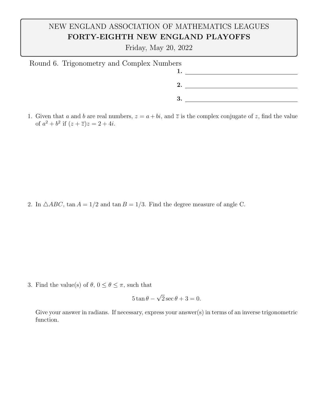Friday, May 20, 2022

| Round 6. Trigonometry and Complex Numbers |  |
|-------------------------------------------|--|
|                                           |  |
|                                           |  |
| -3                                        |  |
|                                           |  |

1. Given that *a* and *b* are real numbers,  $z = a + bi$ , and  $\overline{z}$  is the complex conjugate of *z*, find the value of  $a^2 + b^2$  if  $(z + \overline{z})z = 2 + 4i$ .

2. In  $\triangle ABC$ ,  $\tan A = 1/2$  and  $\tan B = 1/3$ . Find the degree measure of angle C.

3. Find the value(s) of  $\theta$ ,  $0 \le \theta \le \pi$ , such that

$$
5\tan\theta - \sqrt{2}\sec\theta + 3 = 0.
$$

Give your answer in radians. If necessary, express your answer(s) in terms of an inverse trigonometric function.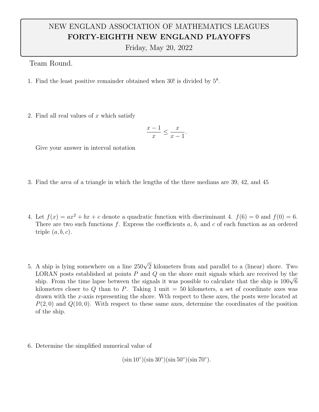Friday, May 20, 2022

Team Round.

- 1. Find the least positive remainder obtained when  $30!$  is divided by  $5^8$ .
- 2. Find all real values of *x* which satisfy

$$
\frac{x-1}{x} \le \frac{x}{x-1}.
$$

Give your answer in interval notation

- 3. Find the area of a triangle in which the lengths of the three medians are 39, 42, and 45
- 4. Let  $f(x) = ax^2 + bx + c$  denote a quadratic function with discriminant 4.  $f(6) = 0$  and  $f(0) = 6$ . There are two such functions  $f$ . Express the coefficients  $a, b$ , and  $c$  of each function as an ordered triple (*a, b, c*).
- 5. A ship is lying somewhere on a line  $250\sqrt{2}$  kilometers from and parallel to a (linear) shore. Two LORAN posts established at points *P* and *Q* on the shore emit signals which are received by the ship. From the time lapse between the signals it was possible to calculate that the ship is  $100\sqrt{6}$ kilometers closer to  $Q$  than to  $P$ . Taking 1 unit  $=$  50 kilometers, a set of coordinate axes was drawn with the *x*-axis representing the shore. Wth respect to these axes, the posts were located at  $P(2,0)$  and  $Q(10,0)$ . With respect to these same axes, determine the coordinates of the position of the ship.
- 6. Determine the simplified numerical value of

 $(\sin 10^{\circ})(\sin 30^{\circ})(\sin 50^{\circ})(\sin 70^{\circ}).$